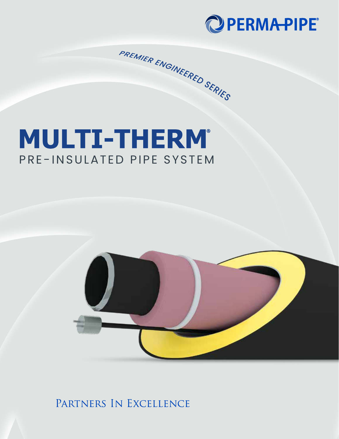

# **MULTI-THERM®** PRE-INSULATED PIPE SYSTEM

PREMIER ENGINEERED SERIES



PARTNERS IN EXCELLENCE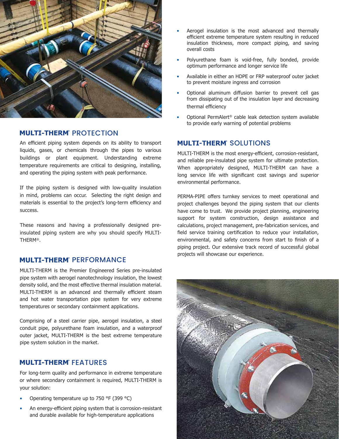

## **PROTECTION**

An efficient piping system depends on its ability to transport liquids, gases, or chemicals through the pipes to various buildings or plant equipment. Understanding extreme temperature requirements are critical to designing, installing, and operating the piping system with peak performance.

If the piping system is designed with low-quality insulation in mind, problems can occur. Selecting the right design and materials is essential to the project's long-term efficiency and success.

These reasons and having a professionally designed preinsulated piping system are why you should specify MULTI-THERM®.

## **SPERFORMANCE**

MULTI-THERM is the Premier Engineered Series pre-insulated pipe system with aerogel nanotechnology insulation, the lowest density solid, and the most effective thermal insulation material. MULTI-THERM is an advanced and thermally efficient steam and hot water transportation pipe system for very extreme temperatures or secondary containment applications.

Comprising of a steel carrier pipe, aerogel insulation, a steel conduit pipe, polyurethane foam insulation, and a waterproof outer jacket, MULTI-THERM is the best extreme temperature pipe system solution in the market.

## ® FEATURES

For long-term quality and performance in extreme temperature or where secondary containment is required, MULTI-THERM is your solution:

- Operating temperature up to 750 °F (399 °C)
- An energy-efficient piping system that is corrosion-resistant and durable available for high-temperature applications
- Aerogel insulation is the most advanced and thermally efficient extreme temperature system resulting in reduced insulation thickness, more compact piping, and saving overall costs
- Polyurethane foam is void-free, fully bonded, provide optimum performance and longer service life
- Available in either an HDPE or FRP waterproof outer jacket to prevent moisture ingress and corrosion
- Optional aluminum diffusion barrier to prevent cell gas from dissipating out of the insulation layer and decreasing thermal efficiency
- Optional PermAlert® cable leak detection system available to provide early warning of potential problems

## ® SOLUTIONS

MULTI-THERM is the most energy-efficient, corrosion-resistant, and reliable pre-insulated pipe system for ultimate protection. When appropriately designed, MULTI-THERM can have a long service life with significant cost savings and superior environmental performance.

PERMA-PIPE offers turnkey services to meet operational and project challenges beyond the piping system that our clients have come to trust. We provide project planning, engineering support for system construction, design assistance and calculations, project management, pre-fabrication services, and field service training certification to reduce your installation, environmental, and safety concerns from start to finish of a piping project. Our extensive track record of successful global projects will showcase our experience.

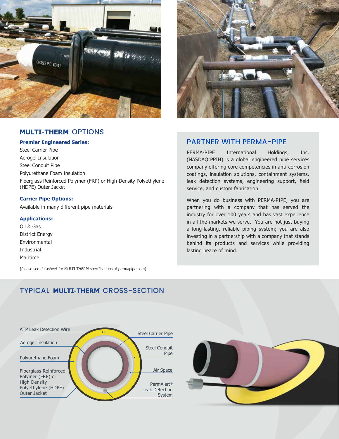

## ® OPTIONS

#### **Premier Engineered Series:**

Steel Carrier Pipe Aerogel Insulation Steel Conduit Pipe Polyurethane Foam Insulation Fiberglass Reinforced Polymer (FRP) or High-Density Polyethylene (HDPE) Outer Jacket

#### **Carrier Pipe Options:**

Available in many different pipe materials

#### **Applications:**

Oil & Gas District Energy Environmental **Industrial** Maritime

[Please see datasheet for MULTI-THERM specifications at permapipe.com]



### PARTNER WITH PERMA-PIPE

PERMA-PIPE International Holdings, Inc. (NASDAQ:PPIH) is a global engineered pipe services company offering core competencies in anti-corrosion coatings, insulation solutions, containment systems, leak detection systems, engineering support, field service, and custom fabrication.

When you do business with PERMA-PIPE, you are partnering with a company that has served the industry for over 100 years and has vast experience in all the markets we serve. You are not just buying a long-lasting, reliable piping system; you are also investing in a partnership with a company that stands behind its products and services while providing lasting peace of mind.

## TYPICAL MULTI-THERM' CROSS-SECTION